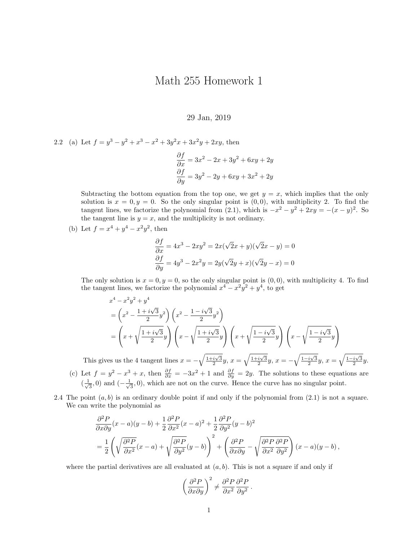## Math 255 Homework 1

## 29 Jan, 2019

2.2 (a) Let  $f = y^3 - y^2 + x^3 - x^2 + 3y^2x + 3x^2y + 2xy$ , then

$$
\frac{\partial f}{\partial x} = 3x^2 - 2x + 3y^2 + 6xy + 2y
$$

$$
\frac{\partial f}{\partial y} = 3y^2 - 2y + 6xy + 3x^2 + 2y
$$

Subtracting the bottom equation from the top one, we get  $y = x$ , which implies that the only solution is  $x = 0, y = 0$ . So the only singular point is  $(0, 0)$ , with multiplicity 2. To find the tangent lines, we factorize the polynomial from (2.1), which is  $-x^2 - y^2 + 2xy = -(x - y)^2$ . So the tangent line is  $y = x$ , and the multiplicity is not ordinary.

(b) Let  $f = x^4 + y^4 - x^2y^2$ , then

$$
\frac{\partial f}{\partial x} = 4x^3 - 2xy^2 = 2x(\sqrt{2}x + y)(\sqrt{2}x - y) = 0
$$
  

$$
\frac{\partial f}{\partial y} = 4y^3 - 2x^2y = 2y(\sqrt{2}y + x)(\sqrt{2}y - x) = 0
$$

The only solution is  $x = 0, y = 0$ , so the only singular point is  $(0, 0)$ , with multiplicity 4. To find the tangent lines, we factorize the polynomial  $x^4 - x^2y^2 + y^4$ , to get

$$
x^{4} - x^{2}y^{2} + y^{4}
$$
\n
$$
= \left(x^{2} - \frac{1 + i\sqrt{3}}{2}y^{2}\right)\left(x^{2} - \frac{1 - i\sqrt{3}}{2}y^{2}\right)
$$
\n
$$
= \left(x + \sqrt{\frac{1 + i\sqrt{3}}{2}y}\right)\left(x - \sqrt{\frac{1 + i\sqrt{3}}{2}y}\right)\left(x + \sqrt{\frac{1 - i\sqrt{3}}{2}y}\right)\left(x - \sqrt{\frac{1 - i\sqrt{3}}{2}y}\right)
$$

This gives us the 4 tangent lines  $x = -\sqrt{\frac{1+i\sqrt{3}}{2}}y$ ,  $x = \sqrt{\frac{1+i\sqrt{3}}{2}}y$ ,  $x = -\sqrt{\frac{1-i\sqrt{3}}{2}}y$ ,  $x = \sqrt{\frac{1-i\sqrt{3}}{2}}y$ . (c) Let  $f = y^2 - x^3 + x$ , then  $\frac{\partial f}{\partial x} = -3x^2 + 1$  and  $\frac{\partial f}{\partial y} = 2y$ . The solutions to these equations are  $\left(\frac{1}{2}\right)$  $(\frac{1}{3}, 0)$  and  $(-\frac{1}{\sqrt{3}})$  $\overline{3}$ , 0), which are not on the curve. Hence the curve has no singular point.

2.4 The point  $(a, b)$  is an ordinary double point if and only if the polynomial from  $(2.1)$  is not a square. We can write the polynomial as

$$
\frac{\partial^2 P}{\partial x \partial y}(x-a)(y-b) + \frac{1}{2} \frac{\partial^2 P}{\partial x^2}(x-a)^2 + \frac{1}{2} \frac{\partial^2 P}{\partial y^2}(y-b)^2
$$
  
=  $\frac{1}{2} \left( \sqrt{\frac{\partial^2 P}{\partial x^2}}(x-a) + \sqrt{\frac{\partial^2 P}{\partial y^2}}(y-b) \right)^2 + \left( \frac{\partial^2 P}{\partial x \partial y} - \sqrt{\frac{\partial^2 P}{\partial x^2} \frac{\partial^2 P}{\partial y^2}} \right)(x-a)(y-b),$ 

where the partial derivatives are all evaluated at  $(a, b)$ . This is not a square if and only if

$$
\left(\frac{\partial^2 P}{\partial x \partial y}\right)^2 \neq \frac{\partial^2 P}{\partial x^2} \frac{\partial^2 P}{\partial y^2}.
$$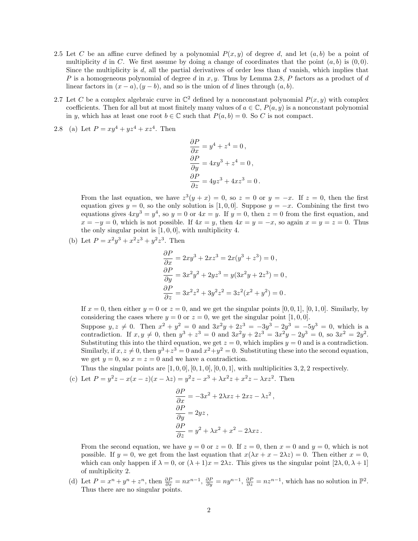- 2.5 Let C be an affine curve defined by a polynomial  $P(x, y)$  of degree d, and let  $(a, b)$  be a point of multiplicity d in C. We first assume by doing a change of coordinates that the point  $(a, b)$  is  $(0, 0)$ . Since the multiplicity is d, all the partial derivatives of order less than  $d$  vanish, which implies that P is a homogeneous polynomial of degree d in  $x, y$ . Thus by Lemma 2.8, P factors as a product of d linear factors in  $(x - a)$ ,  $(y - b)$ , and so is the union of d lines through  $(a, b)$ .
- 2.7 Let C be a complex algebraic curve in  $\mathbb{C}^2$  defined by a nonconstant polynomial  $P(x, y)$  with complex coefficients. Then for all but at most finitely many values of  $a \in \mathbb{C}$ ,  $P(a, y)$  is a nonconstant polynomial in y, which has at least one root  $b \in \mathbb{C}$  such that  $P(a, b) = 0$ . So C is not compact.
- 2.8 (a) Let  $P = xy^4 + yz^4 + xz^4$ . Then

$$
\frac{\partial P}{\partial x} = y^4 + z^4 = 0,
$$
  
\n
$$
\frac{\partial P}{\partial y} = 4xy^3 + z^4 = 0,
$$
  
\n
$$
\frac{\partial P}{\partial z} = 4yz^3 + 4xz^3 = 0.
$$

From the last equation, we have  $z^3(y+x) = 0$ , so  $z = 0$  or  $y = -x$ . If  $z = 0$ , then the first equation gives  $y = 0$ , so the only solution is [1,0,0]. Suppose  $y = -x$ . Combining the first two equations gives  $4xy^3 = y^4$ , so  $y = 0$  or  $4x = y$ . If  $y = 0$ , then  $z = 0$  from the first equation, and  $x = -y = 0$ , which is not possible. If  $4x = y$ , then  $4x = y = -x$ , so again  $x = y = z = 0$ . Thus the only singular point is  $[1, 0, 0]$ , with multiplicity 4.

(b) Let  $P = x^2y^3 + x^2z^3 + y^2z^3$ . Then

$$
\frac{\partial P}{\partial x} = 2xy^3 + 2xz^3 = 2x(y^3 + z^3) = 0,
$$
  
\n
$$
\frac{\partial P}{\partial y} = 3x^2y^2 + 2yz^3 = y(3x^2y + 2z^3) = 0,
$$
  
\n
$$
\frac{\partial P}{\partial z} = 3x^2z^2 + 3y^2z^2 = 3z^2(x^2 + y^2) = 0.
$$

If  $x = 0$ , then either  $y = 0$  or  $z = 0$ , and we get the singular points [0, 0, 1], [0, 1, 0]. Similarly, by considering the cases where  $y = 0$  or  $z = 0$ , we get the singular point [1, 0, 0].

Suppose  $y, z \neq 0$ . Then  $x^2 + y^2 = 0$  and  $3x^2y + 2z^3 = -3y^3 - 2y^3 = -5y^3 = 0$ , which is a contradiction. If  $x, y \neq 0$ , then  $y^3 + z^3 = 0$  and  $3x^2y + 2z^3 = 3x^2y - 2y^3 = 0$ , so  $3x^2 = 2y^2$ . Substituting this into the third equation, we get  $z = 0$ , which implies  $y = 0$  and is a contradiction. Similarly, if  $x, z \neq 0$ , then  $y^3 + z^3 = 0$  and  $x^2 + y^2 = 0$ . Substituting these into the second equation, we get  $y = 0$ , so  $x = z = 0$  and we have a contradiction.

Thus the singular points are  $[1, 0, 0]$ ,  $[0, 1, 0]$ ,  $[0, 0, 1]$ , with multiplicities 3, 2, 2 respectively.

(c) Let  $P = y^2z - x(x - z)(x - \lambda z) = y^2z - x^3 + \lambda x^2z + x^2z - \lambda xz^2$ . Then

$$
\frac{\partial P}{\partial x} = -3x^2 + 2\lambda x z + 2xz - \lambda z^2,
$$
  
\n
$$
\frac{\partial P}{\partial y} = 2yz,
$$
  
\n
$$
\frac{\partial P}{\partial z} = y^2 + \lambda x^2 + x^2 - 2\lambda x z.
$$

From the second equation, we have  $y = 0$  or  $z = 0$ . If  $z = 0$ , then  $x = 0$  and  $y = 0$ , which is not possible. If  $y = 0$ , we get from the last equation that  $x(\lambda x + x - 2\lambda z) = 0$ . Then either  $x = 0$ , which can only happen if  $\lambda = 0$ , or  $(\lambda + 1)x = 2\lambda z$ . This gives us the singular point  $[2\lambda, 0, \lambda + 1]$ of multiplicity 2.

(d) Let  $P = x^n + y^n + z^n$ , then  $\frac{\partial P}{\partial x} = nx^{n-1}$ ,  $\frac{\partial P}{\partial y} = ny^{n-1}$ ,  $\frac{\partial P}{\partial z} = nz^{n-1}$ , which has no solution in  $\mathbb{P}^2$ . Thus there are no singular points.